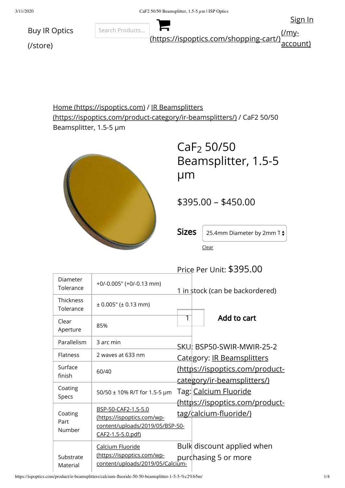

Home [\(https://ispoptics.com\)](https://ispoptics.com/) / IR Beamsplitters [\(https://ispoptics.com/product-category/ir-beamsplitters/\)](https://ispoptics.com/product-category/ir-beamsplitters/) / CaF2 50/50 Beamsplitter, 1.5-5 µm



 $CaF<sub>2</sub> 50/50$ Beamsplitter, 1.5-5 µm

\$395.00 – \$450.00

**Sizes** 25.4mm Diameter by 2mm T $\div$ 

Clear

 $\overline{P}$ 

|                               |                                                                                                           | Price Per Unit: \$395.00                                              |
|-------------------------------|-----------------------------------------------------------------------------------------------------------|-----------------------------------------------------------------------|
| Diameter<br>Tolerance         | $+0/-0.005$ " ( $+0/-0.13$ mm)                                                                            | 1 in stock (can be backordered)                                       |
| <b>Thickness</b><br>Tolerance | $\pm$ 0.005" ( $\pm$ 0.13 mm)                                                                             |                                                                       |
| Clear<br>Aperture             | 85%                                                                                                       | Add to cart<br>1                                                      |
| Parallelism                   | 3 arc min                                                                                                 | SKU BSP50-SWIR-MWIR-25-2                                              |
| <b>Flatness</b>               | 2 waves at 633 nm                                                                                         | Category: IR Beamsplitters                                            |
| Surface<br>finish             | 60/40                                                                                                     | (https://ispoptics.com/product-<br><u>category/ir-beamsplitters/)</u> |
| Coating<br>Specs              | 50/50 ± 10% R/T for 1.5-5 µm                                                                              | Tag:  <u>Calcium Fluoride</u>                                         |
| Coating<br>Part<br>Number     | BSP-50-CAF2-1.5-5.0<br>(https://ispoptics.com/wp-<br>content/uploads/2019/05/BSP-50-<br>CAF2-1.5-5.0.pdf) | <u>tag/calcium-fluoride/)</u>                                         |
| Substrate<br>Material         | Calcium Fluoride<br>(https://ispoptics.com/wp-<br>content/uploads/2019/05/Calcium-                        | Bulk discount applied when<br>purdhasing 5 or more                    |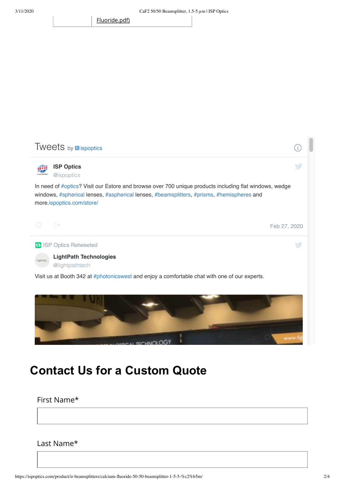[Fluoride.pdf\)](https://ispoptics.com/wp-content/uploads/2019/05/Calcium-Fluoride.pdf)



# **Contact Us for a Custom Quote**

First Name\*

Last Name\*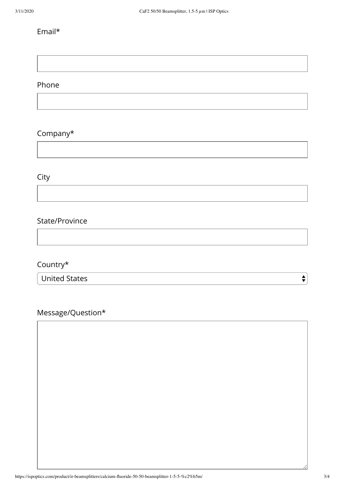### Email\*

#### Phone

## Company\*

## City

#### State/Province

## Country\*

United States

# Message/Question\*

 $\div$